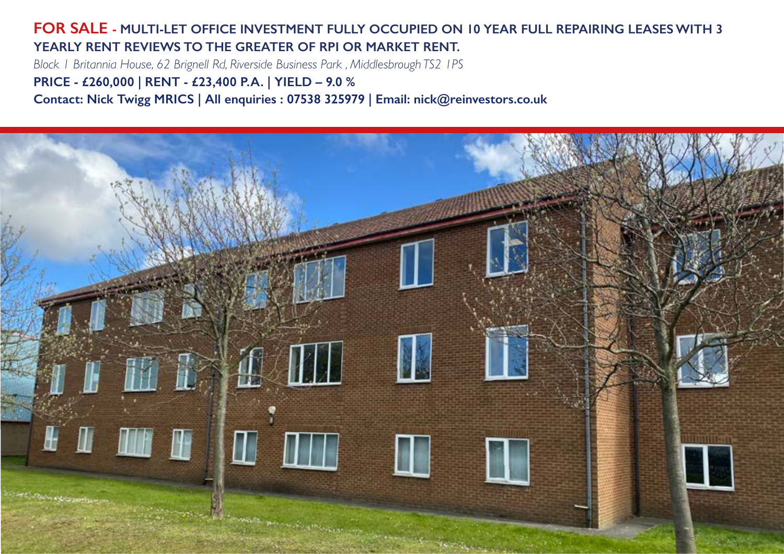#### **FOR SALE - MULTI-LET OFFICE INVESTMENT FULLY OCCUPIED ON 10 YEAR FULL REPAIRING LEASES WITH 3 YEARLY RENT REVIEWS TO THE GREATER OF RPI OR MARKET RENT.**

*Block 1 Britannia House, 62 Brignell Rd, Riverside Business Park , Middlesbrough TS2 1PS*

**PRICE - £260,000 | RENT - £23,400 P.A. | YIELD – 9.0 %**

**Contact: Nick Twigg MRICS | All enquiries : 07538 325979 | Email: nick@reinvestors.co.uk**

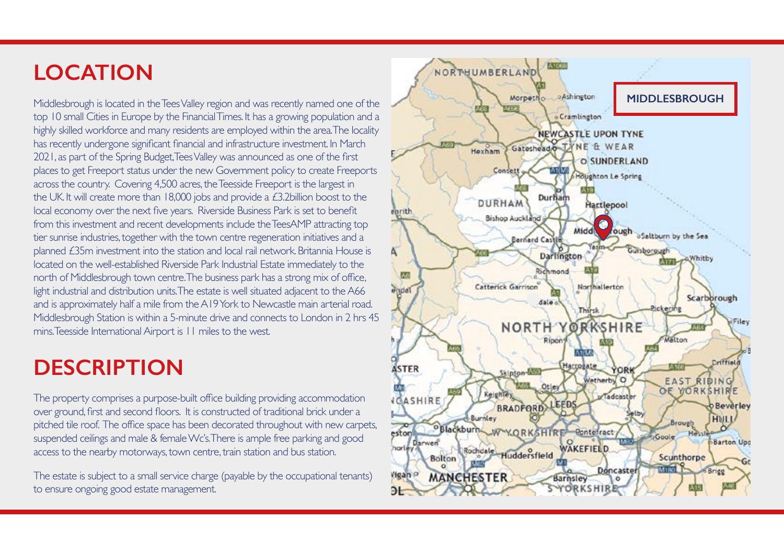# **LOCATION**

Middlesbrough is located in the Tees Valley region and was recently named one of the top 10 small Cities in Europe by the Financial Times. It has a growing population and a highly skilled workforce and many residents are employed within the area. The locality has recently undergone significant financial and infrastructure investment. In March 2021, as part of the Spring Budget, Tees Valley was announced as one of the first places to get Freeport status under the new Government policy to create Freeports across the country. Covering 4,500 acres, the Teesside Freeport is the largest in the UK. It will create more than 18,000 jobs and provide a £3.2billion boost to the local economy over the next five years. Riverside Business Park is set to benefit from this investment and recent developments include the TeesAMP attracting top tier sunrise industries, together with the town centre regeneration initiatives and a planned £35m investment into the station and local rail network. Britannia House is located on the well-established Riverside Park Industrial Estate immediately to the north of Middlesbrough town centre. The business park has a strong mix of office, light industrial and distribution units. The estate is well situated adjacent to the A66 and is approximately half a mile from the A19 York to Newcastle main arterial road. Middlesbrough Station is within a 5-minute drive and connects to London in 2 hrs 45 mins. Teesside International Airport is 11 miles to the west.

## **DESCRIPTION**

The property comprises a purpose-built office building providing accommodation over ground, first and second floors. It is constructed of traditional brick under a pitched tile roof. The office space has been decorated throughout with new carpets, suspended ceilings and male & female Wc's. There is ample free parking and good access to the nearby motorways, town centre, train station and bus station.

The estate is subject to a small service charge (payable by the occupational tenants) to ensure ongoing good estate management.

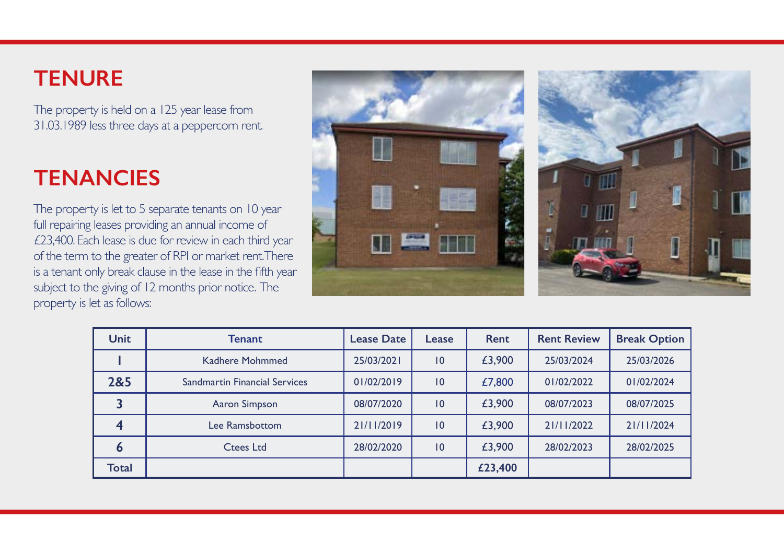## **TENURE**

The property is held on a 125 year lease from 31.03.1989 less three days at a peppercorn rent.

## **TENANCIES**

The property is let to 5 separate tenants on 10 year full repairing leases providing an annual income of £23,400. Each lease is due for review in each third year of the term to the greater of RPI or market rent. There is a tenant only break clause in the lease in the fifth year subject to the giving of 12 months prior notice. The property is let as follows:



| <b>Unit</b>  | Tenant                               | <b>Lease Date</b> | Lease           | <b>Rent</b> | <b>Rent Review</b> | <b>Break Option</b> |
|--------------|--------------------------------------|-------------------|-----------------|-------------|--------------------|---------------------|
|              | Kadhere Mohmmed                      | 25/03/2021        | $\overline{10}$ | £3,900      | 25/03/2024         | 25/03/2026          |
| 2&5          | <b>Sandmartin Financial Services</b> | 01/02/2019        | 10              | £7,800      | 01/02/2022         | 01/02/2024          |
|              | Aaron Simpson                        | 08/07/2020        | 10              | £3,900      | 08/07/2023         | 08/07/2025          |
|              | Lee Ramsbottom                       | 21/11/2019        | $\overline{10}$ | £3,900      | 21/11/2022         | 21/11/2024          |
| O            | <b>Ctees Ltd</b>                     | 28/02/2020        | 10              | £3,900      | 28/02/2023         | 28/02/2025          |
| <b>Total</b> |                                      |                   |                 | £23,400     |                    |                     |